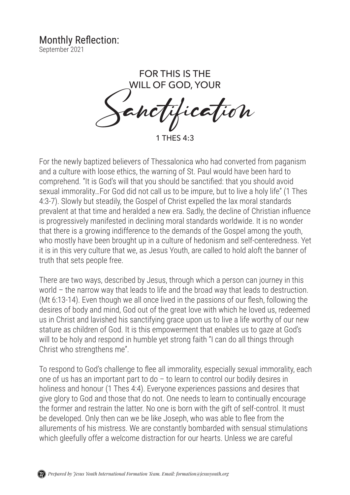## Monthly Reflection:

September 2021

FOR THIS IS THE WILL OF GOD, YOUR lication

1 THES 4:3

For the newly baptized believers of Thessalonica who had converted from paganism and a culture with loose ethics, the warning of St. Paul would have been hard to comprehend. "It is God's will that you should be sanctified: that you should avoid sexual immorality…For God did not call us to be impure, but to live a holy life" (1 Thes 4:3-7). Slowly but steadily, the Gospel of Christ expelled the lax moral standards prevalent at that time and heralded a new era. Sadly, the decline of Christian influence is progressively manifested in declining moral standards worldwide. It is no wonder that there is a growing indifference to the demands of the Gospel among the youth, who mostly have been brought up in a culture of hedonism and self-centeredness. Yet it is in this very culture that we, as Jesus Youth, are called to hold aloft the banner of truth that sets people free.

There are two ways, described by Jesus, through which a person can journey in this world – the narrow way that leads to life and the broad way that leads to destruction. (Mt 6:13-14). Even though we all once lived in the passions of our flesh, following the desires of body and mind, God out of the great love with which he loved us, redeemed us in Christ and lavished his sanctifying grace upon us to live a life worthy of our new stature as children of God. It is this empowerment that enables us to gaze at God's will to be holy and respond in humble yet strong faith "I can do all things through Christ who strengthens me".

To respond to God's challenge to flee all immorality, especially sexual immorality, each one of us has an important part to do – to learn to control our bodily desires in holiness and honour (1 Thes 4:4). Everyone experiences passions and desires that give glory to God and those that do not. One needs to learn to continually encourage the former and restrain the latter. No one is born with the gift of self-control. It must be developed. Only then can we be like Joseph, who was able to flee from the allurements of his mistress. We are constantly bombarded with sensual stimulations which gleefully offer a welcome distraction for our hearts. Unless we are careful